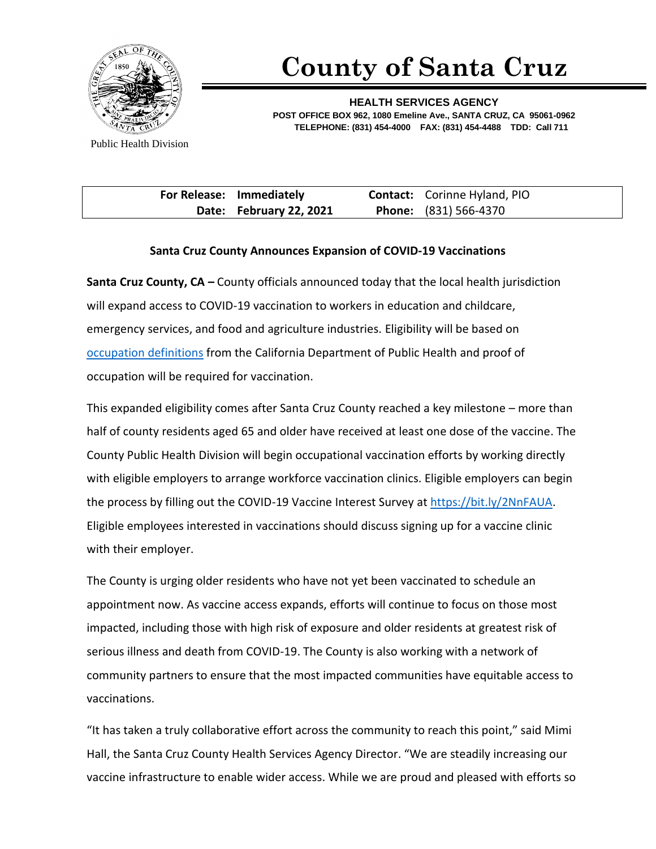

## **County of Santa Cruz**

**HEALTH SERVICES AGENCY POST OFFICE BOX 962, 1080 Emeline Ave., SANTA CRUZ, CA 95061-0962 TELEPHONE: (831) 454-4000 FAX: (831) 454-4488 TDD: Call 711**

Public Health Division

| For Release: Immediately | <b>Contact:</b> Corinne Hyland, PIO |
|--------------------------|-------------------------------------|
| Date: February 22, 2021  | <b>Phone:</b> (831) 566-4370        |

## **Santa Cruz County Announces Expansion of COVID-19 Vaccinations**

**Santa Cruz County, CA –** County officials announced today that the local health jurisdiction will expand access to COVID-19 vaccination to workers in education and childcare, emergency services, and food and agriculture industries. Eligibility will be based on [occupation definitions](https://www.cdph.ca.gov/Programs/CID/DCDC/Pages/COVID-19/VaccineAllocationGuidelines.aspx) from the California Department of Public Health and proof of occupation will be required for vaccination.

This expanded eligibility comes after Santa Cruz County reached a key milestone – more than half of county residents aged 65 and older have received at least one dose of the vaccine. The County Public Health Division will begin occupational vaccination efforts by working directly with eligible employers to arrange workforce vaccination clinics. Eligible employers can begin the process by filling out the COVID-19 Vaccine Interest Survey a[t https://bit.ly/2NnFAUA.](https://bit.ly/2NnFAUA) Eligible employees interested in vaccinations should discuss signing up for a vaccine clinic with their employer.

The County is urging older residents who have not yet been vaccinated to schedule an appointment now. As vaccine access expands, efforts will continue to focus on those most impacted, including those with high risk of exposure and older residents at greatest risk of serious illness and death from COVID-19. The County is also working with a network of community partners to ensure that the most impacted communities have equitable access to vaccinations.

"It has taken a truly collaborative effort across the community to reach this point," said Mimi Hall, the Santa Cruz County Health Services Agency Director. "We are steadily increasing our vaccine infrastructure to enable wider access. While we are proud and pleased with efforts so